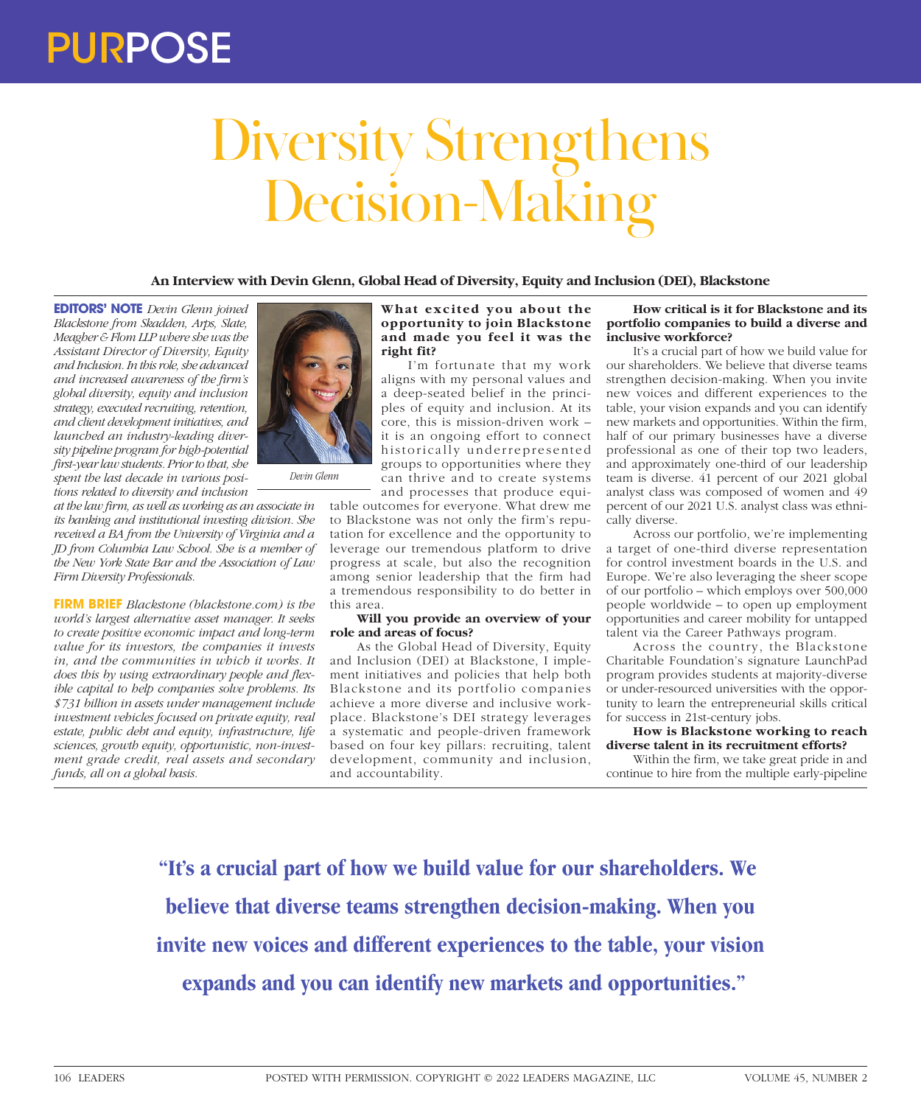# Diversity Strengthens Decision-Making

**An Interview with Devin Glenn, Global Head of Diversity, Equity and Inclusion (DEI), Blackstone**

**EDITORS' NOTE** *Devin Glenn joined Blackstone from Skadden, Arps, Slate, Meagher & Flom LLP where she was the Assistant Director of Diversity, Equity and Inclusion. In this role, she advanced and increased awareness of the firm's global diversity, equity and inclusion strategy, executed recruiting, retention, and client development initiatives, and launched an industry-leading diversity pipeline program for high-potential first-year law students. Prior to that, she spent the last decade in various positions related to diversity and inclusion* 

*at the law firm, as well as working as an associate in its banking and institutional investing division. She received a BA from the University of Virginia and a JD from Columbia Law School. She is a member of the New York State Bar and the Association of Law Firm Diversity Professionals.*

**FIRM BRIEF** *Blackstone (blackstone.com) is the world's largest alternative asset manager. It seeks to create positive economic impact and long-term value for its investors, the companies it invests in, and the communities in which it works. It does this by using extraordinary people and flexible capital to help companies solve problems. Its \$731 billion in assets under management include investment vehicles focused on private equity, real estate, public debt and equity, infrastructure, life sciences, growth equity, opportunistic, non-investment grade credit, real assets and secondary funds, all on a global basis.*



## **What excited you about the opportunity to join Blackstone and made you feel it was the right fit?**

I'm fortunate that my work aligns with my personal values and a deep-seated belief in the principles of equity and inclusion. At its core, this is mission-driven work – it is an ongoing effort to connect historically underrepresented groups to opportunities where they can thrive and to create systems and processes that produce equi-

table outcomes for everyone. What drew me to Blackstone was not only the firm's reputation for excellence and the opportunity to leverage our tremendous platform to drive progress at scale, but also the recognition among senior leadership that the firm had a tremendous responsibility to do better in this area.

## **Will you provide an overview of your role and areas of focus?**

As the Global Head of Diversity, Equity and Inclusion (DEI) at Blackstone, I implement initiatives and policies that help both Blackstone and its portfolio companies achieve a more diverse and inclusive workplace. Blackstone's DEI strategy leverages a systematic and people-driven framework based on four key pillars: recruiting, talent development, community and inclusion, and accountability.

# **How critical is it for Blackstone and its portfolio companies to build a diverse and inclusive workforce?**

It's a crucial part of how we build value for our shareholders. We believe that diverse teams strengthen decision-making. When you invite new voices and different experiences to the table, your vision expands and you can identify new markets and opportunities. Within the firm, half of our primary businesses have a diverse professional as one of their top two leaders, and approximately one-third of our leadership team is diverse. 41 percent of our 2021 global analyst class was composed of women and 49 percent of our 2021 U.S. analyst class was ethnically diverse.

Across our portfolio, we're implementing a target of one-third diverse representation for control investment boards in the U.S. and Europe. We're also leveraging the sheer scope of our portfolio – which employs over 500,000 people worldwide – to open up employment opportunities and career mobility for untapped talent via the Career Pathways program.

Across the country, the Blackstone Charitable Foundation's signature LaunchPad program provides students at majority-diverse or under-resourced universities with the opportunity to learn the entrepreneurial skills critical for success in 21st-century jobs.

#### **How is Blackstone working to reach diverse talent in its recruitment efforts?**

Within the firm, we take great pride in and continue to hire from the multiple early-pipeline

**"It's a crucial part of how we build value for our shareholders. We believe that diverse teams strengthen decision-making. When you invite new voices and different experiences to the table, your vision expands and you can identify new markets and opportunities."**